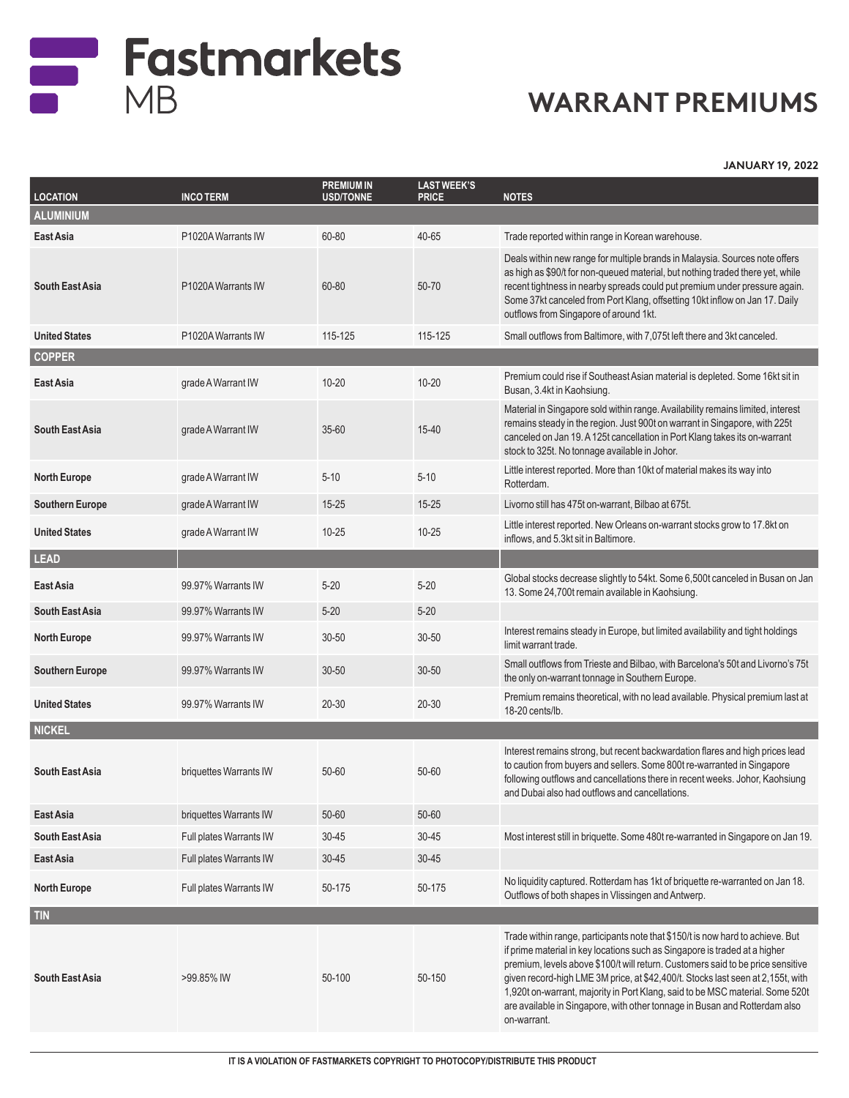

## **WARRANT PREMIUMS**

**JANUARY 19, 2022**

| <b>LOCATION</b>        | <b>INCO TERM</b>        | <b>PREMIUM IN</b><br><b>USD/TONNE</b> | <b>LAST WEEK'S</b><br><b>PRICE</b> | <b>NOTES</b>                                                                                                                                                                                                                                                                                                                                                                                                                                                                                                     |
|------------------------|-------------------------|---------------------------------------|------------------------------------|------------------------------------------------------------------------------------------------------------------------------------------------------------------------------------------------------------------------------------------------------------------------------------------------------------------------------------------------------------------------------------------------------------------------------------------------------------------------------------------------------------------|
| <b>ALUMINIUM</b>       |                         |                                       |                                    |                                                                                                                                                                                                                                                                                                                                                                                                                                                                                                                  |
| East Asia              | P1020A Warrants IW      | 60-80                                 | 40-65                              | Trade reported within range in Korean warehouse.                                                                                                                                                                                                                                                                                                                                                                                                                                                                 |
| <b>South East Asia</b> | P1020A Warrants IW      | 60-80                                 | 50-70                              | Deals within new range for multiple brands in Malaysia. Sources note offers<br>as high as \$90/t for non-queued material, but nothing traded there yet, while<br>recent tightness in nearby spreads could put premium under pressure again.<br>Some 37kt canceled from Port Klang, offsetting 10kt inflow on Jan 17. Daily<br>outflows from Singapore of around 1kt.                                                                                                                                             |
| <b>United States</b>   | P1020A Warrants IW      | 115-125                               | 115-125                            | Small outflows from Baltimore, with 7,075t left there and 3kt canceled.                                                                                                                                                                                                                                                                                                                                                                                                                                          |
| <b>COPPER</b>          |                         |                                       |                                    |                                                                                                                                                                                                                                                                                                                                                                                                                                                                                                                  |
| East Asia              | grade A Warrant IW      | $10 - 20$                             | $10 - 20$                          | Premium could rise if Southeast Asian material is depleted. Some 16kt sit in<br>Busan, 3.4kt in Kaohsiung.                                                                                                                                                                                                                                                                                                                                                                                                       |
| <b>South East Asia</b> | grade A Warrant IW      | $35 - 60$                             | $15 - 40$                          | Material in Singapore sold within range. Availability remains limited, interest<br>remains steady in the region. Just 900t on warrant in Singapore, with 225t<br>canceled on Jan 19. A 125t cancellation in Port Klang takes its on-warrant<br>stock to 325t. No tonnage available in Johor.                                                                                                                                                                                                                     |
| <b>North Europe</b>    | grade A Warrant IW      | $5 - 10$                              | $5 - 10$                           | Little interest reported. More than 10kt of material makes its way into<br>Rotterdam.                                                                                                                                                                                                                                                                                                                                                                                                                            |
| <b>Southern Europe</b> | grade A Warrant IW      | $15 - 25$                             | $15 - 25$                          | Livorno still has 475t on-warrant, Bilbao at 675t.                                                                                                                                                                                                                                                                                                                                                                                                                                                               |
| <b>United States</b>   | grade A Warrant IW      | $10 - 25$                             | $10 - 25$                          | Little interest reported. New Orleans on-warrant stocks grow to 17.8kt on<br>inflows, and 5.3kt sit in Baltimore.                                                                                                                                                                                                                                                                                                                                                                                                |
| <b>LEAD</b>            |                         |                                       |                                    |                                                                                                                                                                                                                                                                                                                                                                                                                                                                                                                  |
| East Asia              | 99.97% Warrants IW      | $5 - 20$                              | $5 - 20$                           | Global stocks decrease slightly to 54kt. Some 6,500t canceled in Busan on Jan<br>13. Some 24,700t remain available in Kaohsiung.                                                                                                                                                                                                                                                                                                                                                                                 |
| <b>South East Asia</b> | 99.97% Warrants IW      | $5 - 20$                              | $5 - 20$                           |                                                                                                                                                                                                                                                                                                                                                                                                                                                                                                                  |
| <b>North Europe</b>    | 99.97% Warrants IW      | 30-50                                 | $30 - 50$                          | Interest remains steady in Europe, but limited availability and tight holdings<br>limit warrant trade.                                                                                                                                                                                                                                                                                                                                                                                                           |
| <b>Southern Europe</b> | 99.97% Warrants IW      | $30 - 50$                             | $30 - 50$                          | Small outflows from Trieste and Bilbao, with Barcelona's 50t and Livorno's 75t<br>the only on-warrant tonnage in Southern Europe.                                                                                                                                                                                                                                                                                                                                                                                |
| <b>United States</b>   | 99.97% Warrants IW      | 20-30                                 | 20-30                              | Premium remains theoretical, with no lead available. Physical premium last at<br>18-20 cents/lb.                                                                                                                                                                                                                                                                                                                                                                                                                 |
| <b>NICKEL</b>          |                         |                                       |                                    |                                                                                                                                                                                                                                                                                                                                                                                                                                                                                                                  |
| <b>South East Asia</b> | briquettes Warrants IW  | 50-60                                 | 50-60                              | Interest remains strong, but recent backwardation flares and high prices lead<br>to caution from buyers and sellers. Some 800t re-warranted in Singapore<br>following outflows and cancellations there in recent weeks. Johor, Kaohsiung<br>and Dubai also had outflows and cancellations.                                                                                                                                                                                                                       |
| East Asia              | briquettes Warrants IW  | 50-60                                 | 50-60                              |                                                                                                                                                                                                                                                                                                                                                                                                                                                                                                                  |
| <b>South East Asia</b> | Full plates Warrants IW | 30-45                                 | $30 - 45$                          | Most interest still in briquette. Some 480t re-warranted in Singapore on Jan 19.                                                                                                                                                                                                                                                                                                                                                                                                                                 |
| East Asia              | Full plates Warrants IW | $30 - 45$                             | $30 - 45$                          |                                                                                                                                                                                                                                                                                                                                                                                                                                                                                                                  |
| <b>North Europe</b>    | Full plates Warrants IW | 50-175                                | 50-175                             | No liquidity captured. Rotterdam has 1kt of briquette re-warranted on Jan 18.<br>Outflows of both shapes in Vlissingen and Antwerp.                                                                                                                                                                                                                                                                                                                                                                              |
| <b>TIN</b>             |                         |                                       |                                    |                                                                                                                                                                                                                                                                                                                                                                                                                                                                                                                  |
| <b>South East Asia</b> | >99.85% IW              | 50-100                                | 50-150                             | Trade within range, participants note that \$150/t is now hard to achieve. But<br>if prime material in key locations such as Singapore is traded at a higher<br>premium, levels above \$100/t will return. Customers said to be price sensitive<br>given record-high LME 3M price, at \$42,400/t. Stocks last seen at 2,155t, with<br>1,920t on-warrant, majority in Port Klang, said to be MSC material. Some 520t<br>are available in Singapore, with other tonnage in Busan and Rotterdam also<br>on-warrant. |